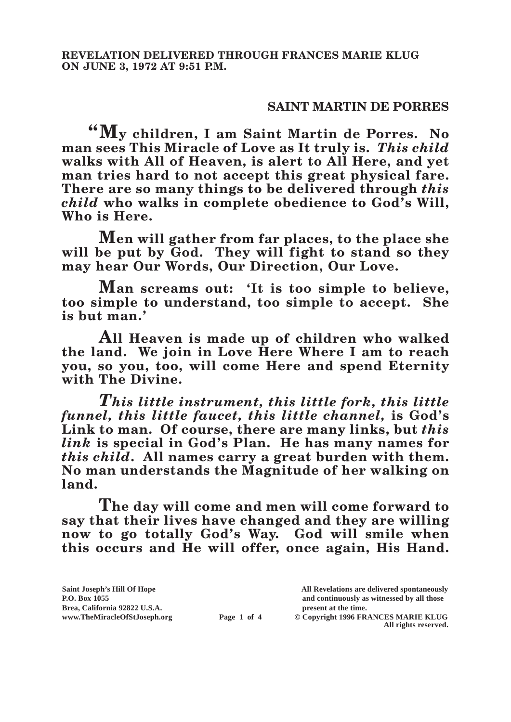## **SAINT MARTIN DE PORRES**

**"My children, I am Saint Martin de Porres. No man sees This Miracle of Love as It truly is.** *This child* **walks with All of Heaven, is alert to All Here, and yet man tries hard to not accept this great physical fare. There are so many things to be delivered through** *this child* **who walks in complete obedience to God's Will, Who is Here.**

**Men will gather from far places, to the place she**  will be put by God. They will fight to stand so they **may hear Our Words, Our Direction, Our Love.**

**Man screams out: 'It is too simple to believe, too simple to understand, too simple to accept. She is but man.'**

**All Heaven is made up of children who walked the land. We join in Love Here Where I am to reach you, so you, too, will come Here and spend Eternity with The Divine.**

*This little instrument, this little fork, this little funnel, this little faucet, this little channel,* **is God's Link to man. Of course, there are many links, but** *this link* **is special in God's Plan. He has many names for**  *this child***. All names carry a great burden with them. No man understands the Magnitude of her walking on land.**

**The day will come and men will come forward to say that their lives have changed and they are willing now to go totally God's Way. God will smile when this occurs and He will offer, once again, His Hand.** 

| Saint Joseph's Hill Of Hope   |             | All Revelations are delivered spontaneously |
|-------------------------------|-------------|---------------------------------------------|
| P.O. Box 1055                 |             | and continuously as witnessed by all those  |
| Brea, California 92822 U.S.A. |             | present at the time.                        |
| www.TheMiracleOfStJoseph.org  | Page 1 of 4 | © Copyright 1996 FRANCES MARIE KLUG         |
|                               |             | All rights reserved.                        |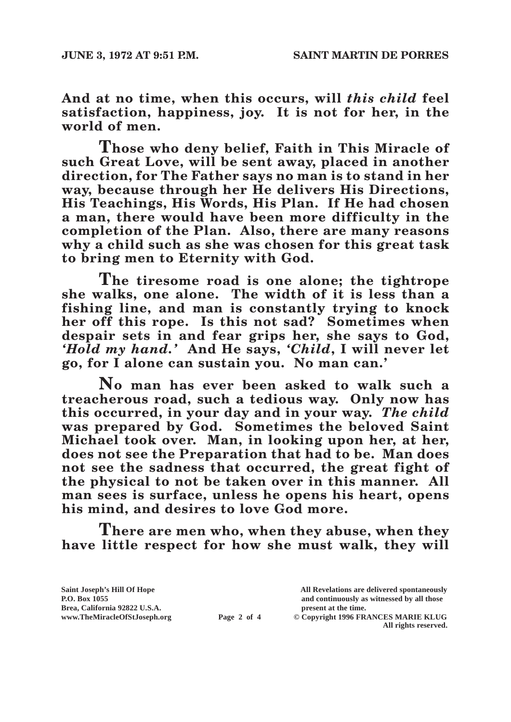**And at no time, when this occurs, will** *this child* **feel satisfaction, happiness, joy. It is not for her, in the world of men.**

**Those who deny belief, Faith in This Miracle of such Great Love, will be sent away, placed in another direction, for The Father says no man is to stand in her way, because through her He delivers His Directions, His Teachings, His Words, His Plan. If He had chosen a man, there would have been more difficulty in the completion of the Plan. Also, there are many reasons why a child such as she was chosen for this great task to bring men to Eternity with God.**

**The tiresome road is one alone; the tightrope she walks, one alone. The width of it is less than a fishing line, and man is constantly trying to knock her off this rope. Is this not sad? Sometimes when despair sets in and fear grips her, she says to God,**  *'Hold my hand.'* **And He says,** *'Child***, I will never let go, for I alone can sustain you. No man can.'**

**No man has ever been asked to walk such a treacherous road, such a tedious way. Only now has this occurred, in your day and in your way.** *The child* **was prepared by God. Sometimes the beloved Saint Michael took over. Man, in looking upon her, at her, does not see the Preparation that had to be. Man does not see the sadness that occurred, the great fight of the physical to not be taken over in this manner. All man sees is surface, unless he opens his heart, opens his mind, and desires to love God more.**

**There are men who, when they abuse, when they have little respect for how she must walk, they will** 

**Brea, California 92822 U.S.A. present at the time.**<br> **Page 2 of 4** © Copyright 1996 FR.

**Saint Joseph's Hill Of Hope All Revelations are delivered spontaneously P.O. Box 1055 and continuously as witnessed by all those**   $\odot$  Copyright 1996 FRANCES MARIE KLUG **All rights reserved.**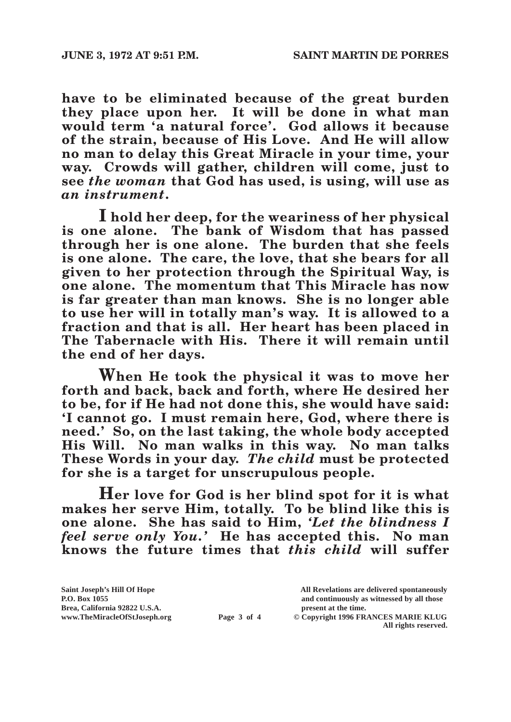**have to be eliminated because of the great burden they place upon her. It will be done in what man would term 'a natural force'. God allows it because of the strain, because of His Love. And He will allow no man to delay this Great Miracle in your time, your way. Crowds will gather, children will come, just to see** *the woman* **that God has used, is using, will use as**  *an instrument***.**

**I hold her deep, for the weariness of her physical is one alone. The bank of Wisdom that has passed through her is one alone. The burden that she feels is one alone. The care, the love, that she bears for all given to her protection through the Spiritual Way, is one alone. The momentum that This Miracle has now is far greater than man knows. She is no longer able to use her will in totally man's way. It is allowed to a fraction and that is all. Her heart has been placed in The Tabernacle with His. There it will remain until the end of her days.**

**When He took the physical it was to move her forth and back, back and forth, where He desired her to be, for if He had not done this, she would have said: 'I cannot go. I must remain here, God, where there is need.' So, on the last taking, the whole body accepted His Will. No man walks in this way. No man talks These Words in your day.** *The child* **must be protected for she is a target for unscrupulous people.**

**Her love for God is her blind spot for it is what**  makes her serve Him, totally. To be blind like this is **one alone. She has said to Him,** *'Let the blindness I feel serve only You.'* **He has accepted this. No man knows the future times that** *this child* **will suffer** 

| Saint Joseph's Hill Of Hope   |             | All Revelations are delivered spontaneously                 |
|-------------------------------|-------------|-------------------------------------------------------------|
| P.O. Box 1055                 |             | and continuously as witnessed by all those                  |
| Brea, California 92822 U.S.A. |             | present at the time.                                        |
| www.TheMiracleOfStJoseph.org  | Page 3 of 4 | © Copyright 1996 FRANCES MARIE KLUG<br>All rights reserved. |